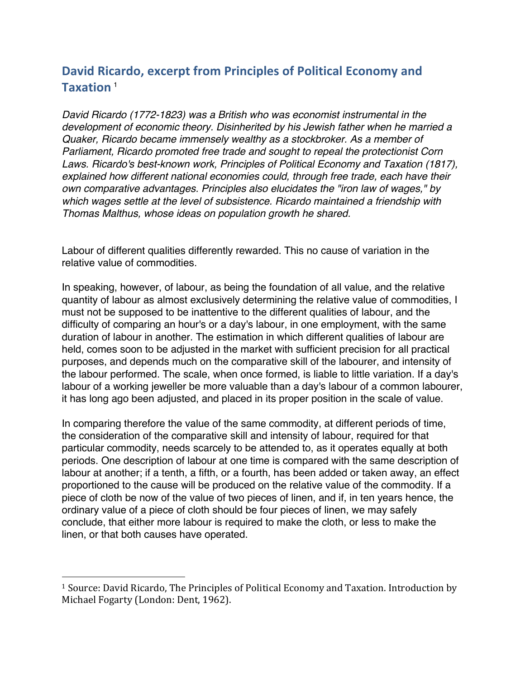## **David Ricardo, excerpt from Principles of Political Economy and Taxation** <sup>1</sup>

*David Ricardo (1772-1823) was a British who was economist instrumental in the development of economic theory. Disinherited by his Jewish father when he married a Quaker, Ricardo became immensely wealthy as a stockbroker. As a member of Parliament, Ricardo promoted free trade and sought to repeal the protectionist Corn Laws. Ricardo's best-known work, Principles of Political Economy and Taxation (1817), explained how different national economies could, through free trade, each have their own comparative advantages. Principles also elucidates the "iron law of wages," by which wages settle at the level of subsistence. Ricardo maintained a friendship with Thomas Malthus, whose ideas on population growth he shared.*

Labour of different qualities differently rewarded. This no cause of variation in the relative value of commodities.

In speaking, however, of labour, as being the foundation of all value, and the relative quantity of labour as almost exclusively determining the relative value of commodities, I must not be supposed to be inattentive to the different qualities of labour, and the difficulty of comparing an hour's or a day's labour, in one employment, with the same duration of labour in another. The estimation in which different qualities of labour are held, comes soon to be adjusted in the market with sufficient precision for all practical purposes, and depends much on the comparative skill of the labourer, and intensity of the labour performed. The scale, when once formed, is liable to little variation. If a day's labour of a working jeweller be more valuable than a day's labour of a common labourer, it has long ago been adjusted, and placed in its proper position in the scale of value.

In comparing therefore the value of the same commodity, at different periods of time, the consideration of the comparative skill and intensity of labour, required for that particular commodity, needs scarcely to be attended to, as it operates equally at both periods. One description of labour at one time is compared with the same description of labour at another; if a tenth, a fifth, or a fourth, has been added or taken away, an effect proportioned to the cause will be produced on the relative value of the commodity. If a piece of cloth be now of the value of two pieces of linen, and if, in ten years hence, the ordinary value of a piece of cloth should be four pieces of linen, we may safely conclude, that either more labour is required to make the cloth, or less to make the linen, or that both causes have operated.

 

<sup>&</sup>lt;sup>1</sup> Source: David Ricardo, The Principles of Political Economy and Taxation. Introduction by Michael Fogarty (London: Dent, 1962).